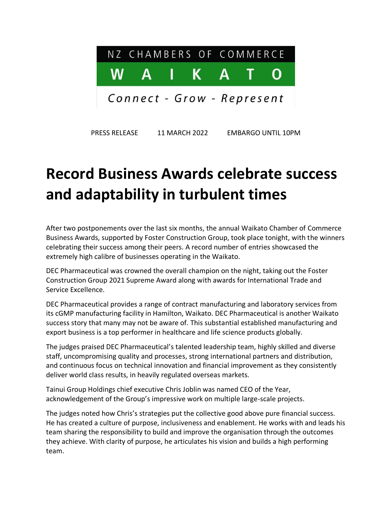

PRESS RELEASE 11 MARCH 2022 EMBARGO UNTIL 10PM

## **Record Business Awards celebrate success and adaptability in turbulent times**

After two postponements over the last six months, the annual Waikato Chamber of Commerce Business Awards, supported by Foster Construction Group, took place tonight, with the winners celebrating their success among their peers. A record number of entries showcased the extremely high calibre of businesses operating in the Waikato.

DEC Pharmaceutical was crowned the overall champion on the night, taking out the Foster Construction Group 2021 Supreme Award along with awards for International Trade and Service Excellence.

DEC Pharmaceutical provides a range of contract manufacturing and laboratory services from its cGMP manufacturing facility in Hamilton, Waikato. DEC Pharmaceutical is another Waikato success story that many may not be aware of. This substantial established manufacturing and export business is a top performer in healthcare and life science products globally.

The judges praised DEC Pharmaceutical's talented leadership team, highly skilled and diverse staff, uncompromising quality and processes, strong international partners and distribution, and continuous focus on technical innovation and financial improvement as they consistently deliver world class results, in heavily regulated overseas markets.

Tainui Group Holdings chief executive Chris Joblin was named CEO of the Year, acknowledgement of the Group's impressive work on multiple large-scale projects.

The judges noted how Chris's strategies put the collective good above pure financial success. He has created a culture of purpose, inclusiveness and enablement. He works with and leads his team sharing the responsibility to build and improve the organisation through the outcomes they achieve. With clarity of purpose, he articulates his vision and builds a high performing team.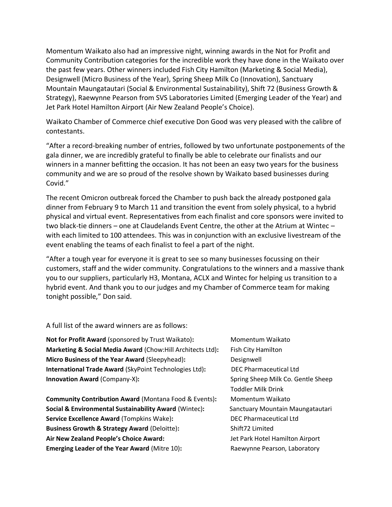Momentum Waikato also had an impressive night, winning awards in the Not for Profit and Community Contribution categories for the incredible work they have done in the Waikato over the past few years. Other winners included Fish City Hamilton (Marketing & Social Media), Designwell (Micro Business of the Year), Spring Sheep Milk Co (Innovation), Sanctuary Mountain Maungatautari (Social & Environmental Sustainability), Shift 72 (Business Growth & Strategy), Raewynne Pearson from SVS Laboratories Limited (Emerging Leader of the Year) and Jet Park Hotel Hamilton Airport (Air New Zealand People's Choice).

Waikato Chamber of Commerce chief executive Don Good was very pleased with the calibre of contestants.

"After a record-breaking number of entries, followed by two unfortunate postponements of the gala dinner, we are incredibly grateful to finally be able to celebrate our finalists and our winners in a manner befitting the occasion. It has not been an easy two years for the business community and we are so proud of the resolve shown by Waikato based businesses during Covid."

The recent Omicron outbreak forced the Chamber to push back the already postponed gala dinner from February 9 to March 11 and transition the event from solely physical, to a hybrid physical and virtual event. Representatives from each finalist and core sponsors were invited to two black-tie dinners – one at Claudelands Event Centre, the other at the Atrium at Wintec – with each limited to 100 attendees. This was in conjunction with an exclusive livestream of the event enabling the teams of each finalist to feel a part of the night.

"After a tough year for everyone it is great to see so many businesses focussing on their customers, staff and the wider community. Congratulations to the winners and a massive thank you to our suppliers, particularly H3, Montana, ACLX and Wintec for helping us transition to a hybrid event. And thank you to our judges and my Chamber of Commerce team for making tonight possible," Don said.

A full list of the award winners are as follows:

| Not for Profit Award (sponsored by Trust Waikato):            | Momentur          |
|---------------------------------------------------------------|-------------------|
| Marketing & Social Media Award (Chow:Hill Architects Ltd):    | Fish City Ha      |
| Micro Business of the Year Award (Sleepyhead):                | Designwell        |
| <b>International Trade Award (SkyPoint Technologies Ltd):</b> | <b>DEC Pharm</b>  |
| <b>Innovation Award (Company-X):</b>                          | Spring Shee       |
|                                                               | <b>Toddler Mi</b> |
|                                                               |                   |

**Community Contribution Award** (Montana Food & Events)**:** Momentum Waikato **Social & Environmental Sustainability Award** (Wintec): Sanctuary Mountain Maungatautari **Service Excellence Award** (Tompkins Wake)**:** DEC Pharmaceutical Ltd **Business Growth & Strategy Award** (Deloitte)**:** Shift72 Limited **Air New Zealand People's Choice Award:** Jet Park Hotel Hamilton Airport **Emerging Leader of the Year Award** (Mitre 10): **Raewynne Pearson, Laboratory** 

**Not for Profit Award** (sponsored by Trust Waikato)**:** Momentum Waikato **City Hamilton Pharmaceutical Ltd Ing Sheep Milk Co. Gentle Sheep** tler Milk Drink